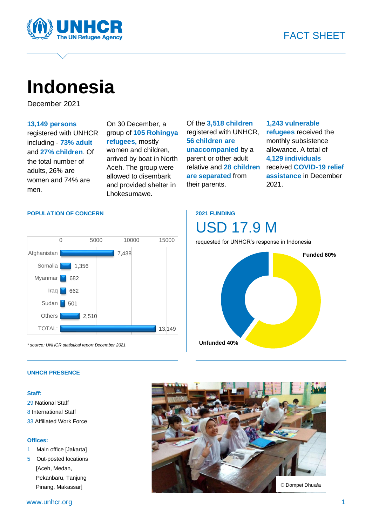



# **Indonesia**

December 2021

#### **13,149 persons**

registered with UNHCR including - **73% adult** and **27% children**. Of the total number of adults, 26% are women and 74% are men.

On 30 December, a group of **105 Rohingya refugees,** mostly women and children, arrived by boat in North Aceh. The group were allowed to disembark and provided shelter in Lhokesumawe.

Of the **3,518 children** registered with UNHCR, **56 children are unaccompanied** by a parent or other adult relative and **28 children are separated** from their parents.

#### **1,243 vulnerable refugees** received the monthly subsistence allowance. A total of **4,129 individuals** received **COVID-19 relief assistance** in December 2021.

#### **POPULATION OF CONCERN**



*\* source: UNHCR statistical report December 2021* 

### **2021 FUNDING**



requested for UNHCR's response in Indonesia



#### **UNHCR PRESENCE**

#### **Staff:**

29 National Staff 8 International Staff 33 Affiliated Work Force

#### **Offices:**

- 1 Main office [Jakarta]
- 5 Out-posted locations [Aceh, Medan, Pekanbaru, Tanjung Pinang, Makassar]

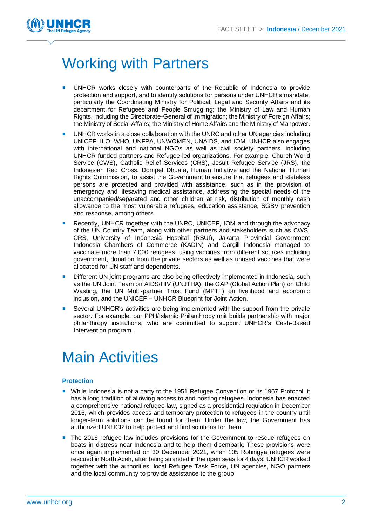

## Working with Partners

- UNHCR works closely with counterparts of the Republic of Indonesia to provide protection and support, and to identify solutions for persons under UNHCR's mandate, particularly the Coordinating Ministry for Political, Legal and Security Affairs and its department for Refugees and People Smuggling; the Ministry of Law and Human Rights, including the Directorate-General of Immigration; the Ministry of Foreign Affairs; the Ministry of Social Affairs; the Ministry of Home Affairs and the Ministry of Manpower.
- UNHCR works in a close collaboration with the UNRC and other UN agencies including UNICEF, ILO, WHO, UNFPA, UNWOMEN, UNAIDS, and IOM. UNHCR also engages with international and national NGOs as well as civil society partners, including UNHCR-funded partners and Refugee-led organizations. For example, Church World Service (CWS), Catholic Relief Services (CRS), Jesuit Refugee Service (JRS), the Indonesian Red Cross, Dompet Dhuafa, Human Initiative and the National Human Rights Commission, to assist the Government to ensure that refugees and stateless persons are protected and provided with assistance, such as in the provision of emergency and lifesaving medical assistance, addressing the special needs of the unaccompanied/separated and other children at risk, distribution of monthly cash allowance to the most vulnerable refugees, education assistance, SGBV prevention and response, among others.
- Recently, UNHCR together with the UNRC, UNICEF, IOM and through the advocacy of the UN Country Team, along with other partners and stakeholders such as CWS, CRS, University of Indonesia Hospital (RSUI), Jakarta Provincial Government Indonesia Chambers of Commerce (KADIN) and Cargill Indonesia managed to vaccinate more than 7,000 refugees, using vaccines from different sources including government, donation from the private sectors as well as unused vaccines that were allocated for UN staff and dependents.
- Different UN joint programs are also being effectively implemented in Indonesia, such as the UN Joint Team on AIDS/HIV (UNJTHA), the GAP (Global Action Plan) on Child Wasting, the UN Multi-partner Trust Fund (MPTF) on livelihood and economic inclusion, and the UNICEF – UNHCR Blueprint for Joint Action.
- Several UNHCR's activities are being implemented with the support from the private sector. For example, our PPH/Islamic Philanthropy unit builds partnership with major philanthropy institutions, who are committed to support UNHCR's Cash-Based Intervention program.

## Main Activities

#### **Protection**

- **Nile Indonesia is not a party to the 1951 Refugee Convention or its 1967 Protocol, it** has a long tradition of allowing access to and hosting refugees. Indonesia has enacted a comprehensive national refugee law, signed as a presidential regulation in December 2016, which provides access and temporary protection to refugees in the country until longer-term solutions can be found for them. Under the law, the Government has authorized UNHCR to help protect and find solutions for them.
- **The 2016 refugee law includes provisions for the Government to rescue refugees on** boats in distress near Indonesia and to help them disembark. These provisions were once again implemented on 30 December 2021, when 105 Rohingya refugees were rescued in North Aceh, after being stranded in the open seas for 4 days. UNHCR worked together with the authorities, local Refugee Task Force, UN agencies, NGO partners and the local community to provide assistance to the group.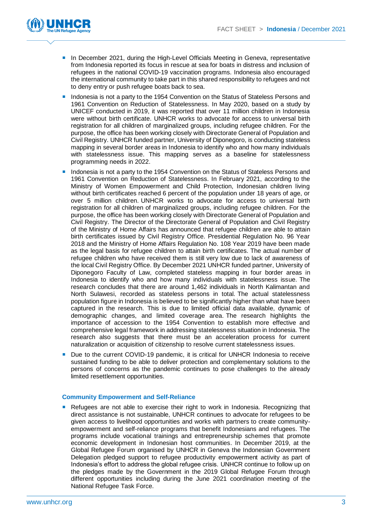

- **In December 2021, during the High-Level Officials Meeting in Geneva, representative** from Indonesia reported its focus in rescue at sea for boats in distress and inclusion of refugees in the national COVID-19 vaccination programs. Indonesia also encouraged the international community to take part in this shared responsibility to refugees and not to deny entry or push refugee boats back to sea.
- Indonesia is not a party to the 1954 Convention on the Status of Stateless Persons and 1961 Convention on Reduction of Statelessness. In May 2020, based on a study by UNICEF conducted in 2019, it was reported that over 11 million children in Indonesia were without birth certificate. UNHCR works to advocate for access to universal birth registration for all children of marginalized groups, including refugee children. For the purpose, the office has been working closely with Directorate General of Population and Civil Registry. UNHCR funded partner, University of Diponegoro, is conducting stateless mapping in several border areas in Indonesia to identify who and how many individuals with statelessness issue. This mapping serves as a baseline for statelessness programming needs in 2022.
- **Indonesia is not a party to the 1954 Convention on the Status of Stateless Persons and** 1961 Convention on Reduction of Statelessness. In February 2021, according to the Ministry of Women Empowerment and Child Protection, Indonesian children living without birth certificates reached 6 percent of the population under 18 years of age, or over 5 million children. UNHCR works to advocate for access to universal birth registration for all children of marginalized groups, including refugee children. For the purpose, the office has been working closely with Directorate General of Population and Civil Registry. The Director of the Directorate General of Population and Civil Registry of the Ministry of Home Affairs has announced that refugee children are able to attain birth certificates issued by Civil Registry Office. Presidential Regulation No. 96 Year 2018 and the Ministry of Home Affairs Regulation No. 108 Year 2019 have been made as the legal basis for refugee children to attain birth certificates. The actual number of refugee children who have received them is still very low due to lack of awareness of the local Civil Registry Office. By December 2021 UNHCR funded partner, University of Diponegoro Faculty of Law, completed stateless mapping in four border areas in Indonesia to identify who and how many individuals with statelessness issue. The research concludes that there are around 1,462 individuals in North Kalimantan and North Sulawesi, recorded as stateless persons in total. The actual statelessness population figure in Indonesia is believed to be significantly higher than what have been captured in the research. This is due to limited official data available, dynamic of demographic changes, and limited coverage area. The research highlights the importance of accession to the 1954 Convention to establish more effective and comprehensive legal framework in addressing statelessness situation in Indonesia. The research also suggests that there must be an acceleration process for current naturalization or acquisition of citizenship to resolve current statelessness issues.
- Due to the current COVID-19 pandemic, it is critical for UNHCR Indonesia to receive sustained funding to be able to deliver protection and complementary solutions to the persons of concerns as the pandemic continues to pose challenges to the already limited resettlement opportunities.

#### **Community Empowerment and Self-Reliance**

**Refugees are not able to exercise their right to work in Indonesia. Recognizing that** direct assistance is not sustainable, UNHCR continues to advocate for refugees to be given access to livelihood opportunities and works with partners to create communityempowerment and self-reliance programs that benefit Indonesians and refugees. The programs include vocational trainings and entrepreneurship schemes that promote economic development in Indonesian host communities. In December 2019, at the Global Refugee Forum organised by UNHCR in Geneva the Indonesian Government Delegation pledged support to refugee productivity empowerment activity as part of Indonesia's effort to address the global refugee crisis. UNHCR continue to follow up on the pledges made by the Government in the 2019 Global Refugee Forum through different opportunities including during the June 2021 coordination meeting of the National Refugee Task Force.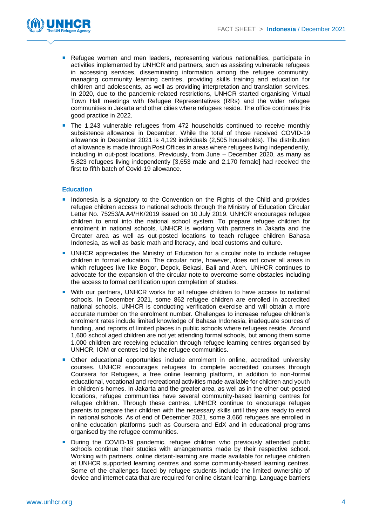

- **Refugee women and men leaders, representing various nationalities, participate in** activities implemented by UNHCR and partners, such as assisting vulnerable refugees in accessing services, disseminating information among the refugee community, managing community learning centres, providing skills training and education for children and adolescents, as well as providing interpretation and translation services. In 2020, due to the pandemic-related restrictions, UNHCR started organising Virtual Town Hall meetings with Refugee Representatives (RRs) and the wider refugee communities in Jakarta and other cities where refugees reside. The office continues this good practice in 2022.
- The 1,243 vulnerable refugees from 472 households continued to receive monthly subsistence allowance in December. While the total of those received COVID-19 allowance in December 2021 is 4,129 individuals (2,505 households). The distribution of allowance is made through Post Offices in areas where refugees living independently, including in out-post locations. Previously, from June – December 2020, as many as 5,823 refugees living independently [3,653 male and 2,170 female] had received the first to fifth batch of Covid-19 allowance.

#### **Education**

- **Indonesia is a signatory to the Convention on the Rights of the Child and provides** refugee children access to national schools through the Ministry of Education Circular Letter No. 75253/A.A4/HK/2019 issued on 10 July 2019. UNHCR encourages refugee children to enrol into the national school system. To prepare refugee children for enrolment in national schools, UNHCR is working with partners in Jakarta and the Greater area as well as out-posted locations to teach refugee children Bahasa Indonesia, as well as basic math and literacy, and local customs and culture.
- UNHCR appreciates the Ministry of Education for a circular note to include refugee children in formal education. The circular note, however, does not cover all areas in which refugees live like Bogor, Depok, Bekasi, Bali and Aceh. UNHCR continues to advocate for the expansion of the circular note to overcome some obstacles including the access to formal certification upon completion of studies.
- **With our partners, UNHCR works for all refugee children to have access to national** schools. In December 2021, some 862 refugee children are enrolled in accredited national schools. UNHCR is conducting verification exercise and will obtain a more accurate number on the enrolment number. Challenges to increase refugee children's enrolment rates include limited knowledge of Bahasa Indonesia, inadequate sources of funding, and reports of limited places in public schools where refugees reside. Around 1,600 school aged children are not yet attending formal schools, but among them some 1,000 children are receiving education through refugee learning centres organised by UNHCR, IOM or centres led by the refugee communities.
- Other educational opportunities include enrolment in online, accredited university courses. UNHCR encourages refugees to complete accredited courses through Coursera for Refugees, a free online learning platform, in addition to non-formal educational, vocational and recreational activities made available for children and youth in children's homes. In Jakarta and the greater area, as well as in the other out-posted locations, refugee communities have several community-based learning centres for refugee children. Through these centres, UNHCR continue to encourage refugee parents to prepare their children with the necessary skills until they are ready to enrol in national schools. As of end of December 2021, some 3,666 refugees are enrolled in online education platforms such as Coursera and EdX and in educational programs organised by the refugee communities.
- During the COVID-19 pandemic, refugee children who previously attended public schools continue their studies with arrangements made by their respective school. Working with partners, online distant-learning are made available for refugee children at UNHCR supported learning centres and some community-based learning centres. Some of the challenges faced by refugee students include the limited ownership of device and internet data that are required for online distant-learning. Language barriers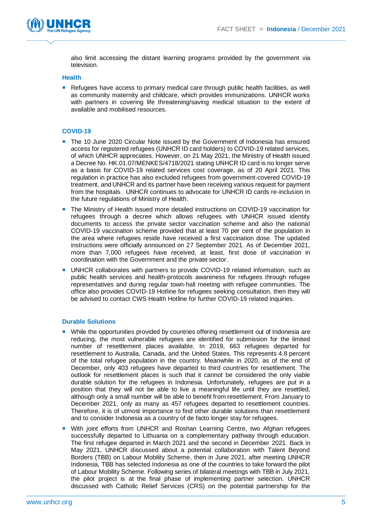

also limit accessing the distant learning programs provided by the government via television.

#### **Health**

Refugees have access to primary medical care through public health facilities, as well as community maternity and childcare, which provides immunizations. UNHCR works with partners in covering life threatening/saving medical situation to the extent of available and mobilised resources.

#### **COVID-19**

- The 10 June 2020 Circular Note issued by the Government of Indonesia has ensured access for registered refugees (UNHCR ID card holders) to COVID-19 related services, of which UNHCR appreciates. However, on 21 May 2021, the Ministry of Health issued a Decree No. HK.01.07/MENKES/4718/2021 stating UNHCR ID card is no longer serve as a basis for COVID-19 related services cost coverage, as of 20 April 2021. This regulation in practice has also excluded refugees from government-covered COVID-19 treatment, and UNHCR and its partner have been receiving various request for payment from the hospitals. UNHCR continues to advocate for UNHCR ID cards re-inclusion in the future regulations of Ministry of Health.
- The Ministry of Health issued more detailed instructions on COVID-19 vaccination for refugees through a decree which allows refugees with UNHCR issued identity documents to access the private sector vaccination scheme and also the national COVID-19 vaccination scheme provided that at least 70 per cent of the population in the area where refugees reside have received a first vaccination dose. The updated instructions were officially announced on 27 September 2021. As of December 2021, more than 7,000 refugees have received, at least, first dose of vaccination in coordination with the Government and the private sector.
- **UNHCR collaborates with partners to provide COVID-19 related information, such as** public health services and health-protocols awareness for refugees through refugee representatives and during regular town-hall meeting with refugee communities. The office also provides COVID-19 Hotline for refugees seeking consultation, then they will be advised to contact CWS Health Hotline for further COVID-19 related inquiries.

#### **Durable Solutions**

- While the opportunities provided by countries offering resettlement out of Indonesia are reducing, the most vulnerable refugees are identified for submission for the limited number of resettlement places available. In 2019, 663 refugees departed for resettlement to Australia, Canada, and the United States. This represents 4.8 percent of the total refugee population in the country. Meanwhile in 2020, as of the end of December, only 403 refugees have departed to third countries for resettlement. The outlook for resettlement places is such that it cannot be considered the only viable durable solution for the refugees in Indonesia. Unfortunately, refugees are put in a position that they will not be able to live a meaningful life until they are resettled, although only a small number will be able to benefit from resettlement. From January to December 2021, only as many as 457 refugees departed to resettlement countries. Therefore, it is of utmost importance to find other durable solutions than resettlement and to consider Indonesia as a country of de facto longer stay for refugees.
- **With joint efforts from UNHCR and Roshan Learning Centre, two Afghan refugees** successfully departed to Lithuania on a complementary pathway through education. The first refugee departed in March 2021 and the second in December 2021. Back in May 2021, UNHCR discussed about a potential collaboration with Talent Beyond Borders (TBB) on Labour Mobility Scheme, then in June 2021, after meeting UNHCR Indonesia, TBB has selected Indonesia as one of the countries to take forward the pilot of Labour Mobility Scheme. Following series of bilateral meetings with TBB in July 2021, the pilot project is at the final phase of implementing partner selection. UNHCR discussed with Catholic Relief Services (CRS) on the potential partnership for the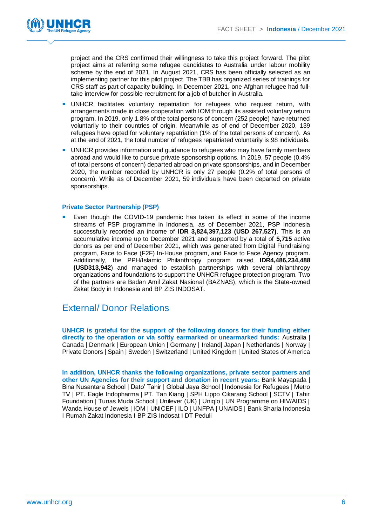

project and the CRS confirmed their willingness to take this project forward. The pilot project aims at referring some refugee candidates to Australia under labour mobility scheme by the end of 2021. In August 2021, CRS has been officially selected as an implementing partner for this pilot project. The TBB has organized series of trainings for CRS staff as part of capacity building. In December 2021, one Afghan refugee had fulltake interview for possible recruitment for a job of butcher in Australia.

- UNHCR facilitates voluntary repatriation for refugees who request return, with arrangements made in close cooperation with IOM through its assisted voluntary return program. In 2019, only 1.8% of the total persons of concern (252 people) have returned voluntarily to their countries of origin. Meanwhile as of end of December 2020, 139 refugees have opted for voluntary repatriation (1% of the total persons of concern). As at the end of 2021, the total number of refugees repatriated voluntarily is 98 individuals.
- **UNHCR** provides information and guidance to refugees who may have family members abroad and would like to pursue private sponsorship options. In 2019, 57 people (0.4% of total persons of concern) departed abroad on private sponsorships, and in December 2020, the number recorded by UNHCR is only 27 people (0.2% of total persons of concern). While as of December 2021, 59 individuals have been departed on private sponsorships.

#### **Private Sector Partnership (PSP)**

 Even though the COVID-19 pandemic has taken its effect in some of the income streams of PSP programme in Indonesia, as of December 2021, PSP Indonesia successfully recorded an income of **IDR 3,824,397,123 (USD 267,527)**. This is an accumulative income up to December 2021 and supported by a total of **5,715** active donors as per end of December 2021, which was generated from Digital Fundraising program, Face to Face (F2F) In-House program, and Face to Face Agency program. Additionally, the PPH/Islamic Philanthropy program raised **IDR4,486,234,488 (USD313,942**) and managed to establish partnerships with several philanthropy organizations and foundations to support the UNHCR refugee protection program. Two of the partners are Badan Amil Zakat Nasional (BAZNAS), which is the State-owned Zakat Body in Indonesia and BP ZIS INDOSAT.

### External/ Donor Relations

**UNHCR is grateful for the support of the following donors for their funding either directly to the operation or via softly earmarked or unearmarked funds:** Australia | Canada | Denmark | European Union | Germany | Ireland| Japan | Netherlands | Norway | Private Donors | Spain | Sweden | Switzerland | United Kingdom | United States of America

**In addition, UNHCR thanks the following organizations, private sector partners and other UN Agencies for their support and donation in recent years:** Bank Mayapada | Bina Nusantara School | Dato' Tahir | Global Jaya School | Indonesia for Refugees | Metro TV | PT. Eagle Indopharma | PT. Tan Kiang | SPH Lippo Cikarang School | SCTV | Tahir Foundation | Tunas Muda School | Unilever (UK) | Uniqlo | UN Programme on HIV/AIDS | Wanda House of Jewels | IOM | UNICEF | ILO | UNFPA | UNAIDS | Bank Sharia Indonesia I Rumah Zakat Indonesia I BP ZIS Indosat I DT Peduli